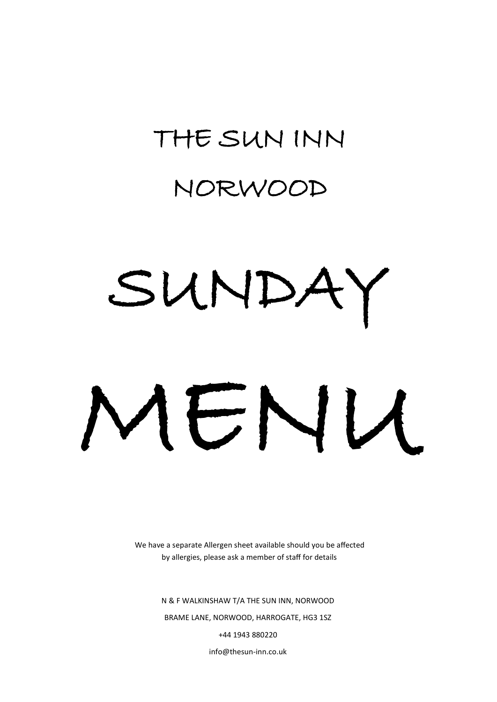# THE SUN INN

# NORWOOD

# SUNDA' MENU

We have a separate Allergen sheet available should you be affected by allergies, please ask a member of staff for details

> N & F WALKINSHAW T/A THE SUN INN, NORWOOD BRAME LANE, NORWOOD, HARROGATE, HG3 1SZ +44 1943 880220 info@thesun-inn.co.uk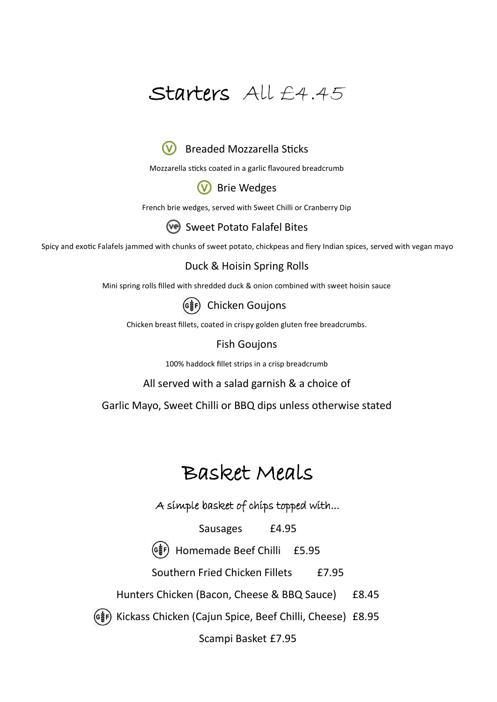#### Starters All £4.45



Mozzarella sticks coated in a garlic flavoured breadcrumb

#### (V) Brie Wedges

French brie wedges, served with Sweet Chilli or Cranberry Dip

#### Sweet Potato Falafel Bites

Spicy and exotic Falafels jammed with chunks of sweet potato, chickpeas and fiery Indian spices, served with vegan mayo

#### Duck & Hoisin Spring Rolls

Mini spring rolls filled with shredded duck & onion combined with sweet hoisin sauce



Chicken breast fillets, coated in crispy golden gluten free breadcrumbs.

#### Fish Goujons

100% haddock fillet strips in a crisp breadcrumb

All served with a salad garnish & a choice of

Garlic Mayo, Sweet Chilli or BBQ dips unless otherwise stated

#### Basket Meals

A simple basket of chips topped with...

Sausages **£4.95** 

Homemade Beef Chilli £5.95

Southern Fried Chicken Fillets £7.95

Hunters Chicken (Bacon, Cheese & BBQ Sauce) £8.45

Kickass Chicken (Cajun Spice, Beef Chilli, Cheese) £8.95

Scampi Basket £7.95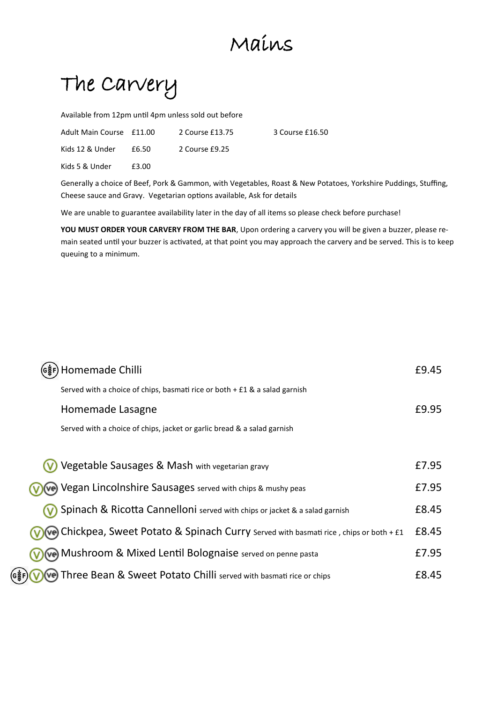## Mains

The Carvery

Available from 12pm until 4pm unless sold out before

| Adult Main Course £11.00 |       | 2 Course £13.75 | 3 Course £16.50 |
|--------------------------|-------|-----------------|-----------------|
| Kids 12 & Under          | £6.50 | 2 Course £9.25  |                 |
| Kids 5 & Under           | £3.00 |                 |                 |

Generally a choice of Beef, Pork & Gammon, with Vegetables, Roast & New Potatoes, Yorkshire Puddings, Stuffing, Cheese sauce and Gravy. Vegetarian options available, Ask for details

We are unable to guarantee availability later in the day of all items so please check before purchase!

**YOU MUST ORDER YOUR CARVERY FROM THE BAR**, Upon ordering a carvery you will be given a buzzer, please remain seated until your buzzer is activated, at that point you may approach the carvery and be served. This is to keep queuing to a minimum.

| Homemade Chilli                                                                                  |       |  |
|--------------------------------------------------------------------------------------------------|-------|--|
| Served with a choice of chips, basmati rice or both $+$ £1 & a salad garnish                     |       |  |
| Homemade Lasagne                                                                                 | £9.95 |  |
| Served with a choice of chips, jacket or garlic bread & a salad garnish                          |       |  |
|                                                                                                  |       |  |
| Vegetable Sausages & Mash with vegetarian gravy                                                  | £7.95 |  |
| Vegan Lincolnshire Sausages served with chips & mushy peas                                       |       |  |
| Spinach & Ricotta Cannelloni served with chips or jacket & a salad garnish                       |       |  |
| $\mathsf{Q}$ Chickpea, Sweet Potato & Spinach Curry served with basmati rice, chips or both + £1 |       |  |
| <b>Ve</b> Mushroom & Mixed Lentil Bolognaise served on penne pasta                               |       |  |
| Three Bean & Sweet Potato Chilli served with basmati rice or chips                               |       |  |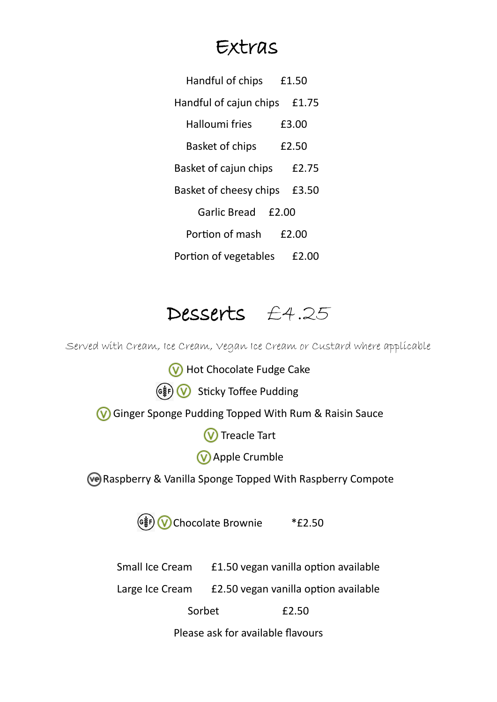#### Extras

| Handful of chips       | £1.50 |  |  |
|------------------------|-------|--|--|
| Handful of cajun chips | £1.75 |  |  |
| Halloumi fries         | £3.00 |  |  |
| <b>Basket of chips</b> | £2.50 |  |  |
| Basket of cajun chips  | £2.75 |  |  |
| Basket of cheesy chips | £3.50 |  |  |
| Garlic Bread<br>£2.00  |       |  |  |
| Portion of mash        | £2.00 |  |  |
| Portion of vegetables  | £2.00 |  |  |

#### Desserts £4.25

Served with Cream, Ice Cream, Vegan Ice Cream or Custard where applicable

**W** Hot Chocolate Fudge Cake  $(\circ \circledast)$  Sticky Toffee Pudding Ginger Sponge Pudding Topped With Rum & Raisin Sauce **W** Treacle Tart **W** Apple Crumble Raspberry & Vanilla Sponge Topped With Raspberry Compote  $(\circ \sharp)$  Chocolate Brownie \*£2.50 Small Ice Cream £1.50 vegan vanilla option available Large Ice Cream £2.50 vegan vanilla option available Sorbet  $\overline{2.50}$ Please ask for available flavours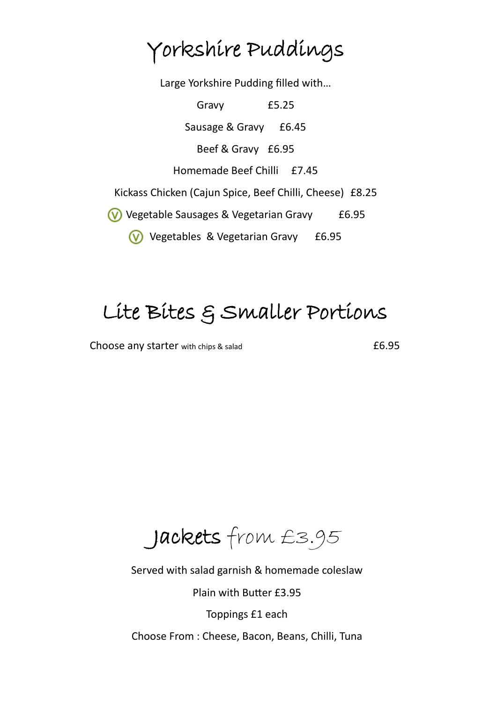# Yorkshire Puddings

Large Yorkshire Pudding filled with…

Gravy £5.25 Sausage & Gravy £6.45 Beef & Gravy £6.95 Homemade Beef Chilli £7.45 Kickass Chicken (Cajun Spice, Beef Chilli, Cheese) £8.25 Vegetable Sausages & Vegetarian Gravy £6.95 **V** Vegetables & Vegetarian Gravy £6.95

# Lite Bites & Smaller Portions

Choose any starter with chips & salad **E6.95** 

Jackets from £3.95

Served with salad garnish & homemade coleslaw

Plain with Butter £3.95

Toppings £1 each

Choose From : Cheese, Bacon, Beans, Chilli, Tuna